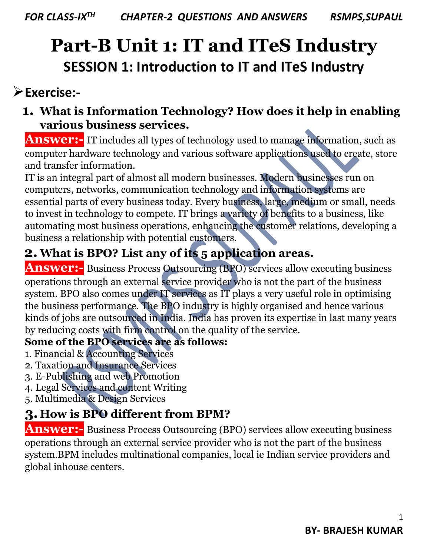# **Part-B Unit 1: IT and ITeS Industry SESSION 1: Introduction to IT and ITeS Industry**

### **Exercise:-**

### **1. What is Information Technology? How does it help in enabling various business services.**

**Answer:**- IT includes all types of technology used to manage information, such as computer hardware technology and various software applications used to create, store and transfer information.

IT is an integral part of almost all modern businesses. Modern businesses run on computers, networks, communication technology and information systems are essential parts of every business today. Every business, large, medium or small, needs to invest in technology to compete. IT brings a variety of benefits to a business, like automating most business operations, enhancing the customer relations, developing a business a relationship with potential customers.

### **2.What is BPO? List any of its 5 application areas.**

**Answer:** Business Process Outsourcing (BPO) services allow executing business operations through an external service provider who is not the part of the business system. BPO also comes under IT services as IT plays a very useful role in optimising the business performance. The BPO industry is highly organised and hence various kinds of jobs are outsourced in India. India has proven its expertise in last many years by reducing costs with firm control on the quality of the service.

#### **Some of the BPO services are as follows:**

- 1. Financial & Accounting Services
- 2. Taxation and Insurance Services
- 3. E-Publishing and web Promotion
- 4. Legal Services and content Writing
- 5. Multimedia & Design Services

### **3.How is BPO different from BPM?**

**Answer:-** Business Process Outsourcing (BPO) services allow executing business operations through an external service provider who is not the part of the business system.BPM includes multinational companies, local ie Indian service providers and global inhouse centers.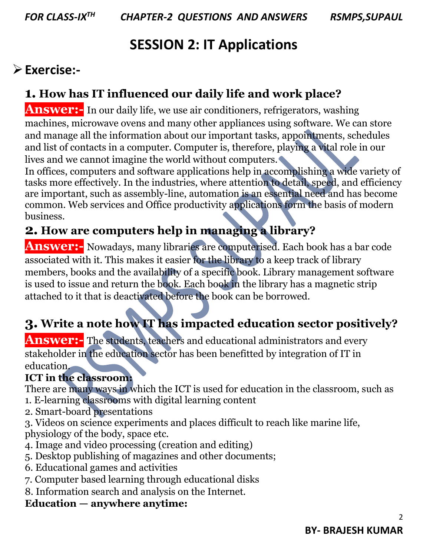## **SESSION 2: IT Applications**

### **Exercise:-**

### **1. How has IT influenced our daily life and work place?**

**Answer:**- In our daily life, we use air conditioners, refrigerators, washing machines, microwave ovens and many other appliances using software. We can store and manage all the information about our important tasks, appointments, schedules and list of contacts in a computer. Computer is, therefore, playing a vital role in our lives and we cannot imagine the world without computers.

In offices, computers and software applications help in accomplishing a wide variety of tasks more effectively. In the industries, where attention to detail, speed, and efficiency are important, such as assembly-line, automation is an essential need and has become common. Web services and Office productivity applications form the basis of modern business.

### **2. How are computers help in managing a library?**

**Answer:-** Nowadays, many libraries are computerised. Each book has a bar code associated with it. This makes it easier for the library to a keep track of library members, books and the availability of a specific book. Library management software is used to issue and return the book. Each book in the library has a magnetic strip attached to it that is deactivated before the book can be borrowed.

### **3. Write a note how IT has impacted education sector positively?**

**Answer:-** The students, teachers and educational administrators and every stakeholder in the education sector has been benefitted by integration of IT in education.

### **ICT in the classroom:**

There are many ways in which the ICT is used for education in the classroom, such as 1. E-learning classrooms with digital learning content

2. Smart-board presentations

3. Videos on science experiments and places difficult to reach like marine life, physiology of the body, space etc.

- 4. Image and video processing (creation and editing)
- 5. Desktop publishing of magazines and other documents;
- 6. Educational games and activities
- 7. Computer based learning through educational disks
- 8. Information search and analysis on the Internet.

#### **Education — anywhere anytime:**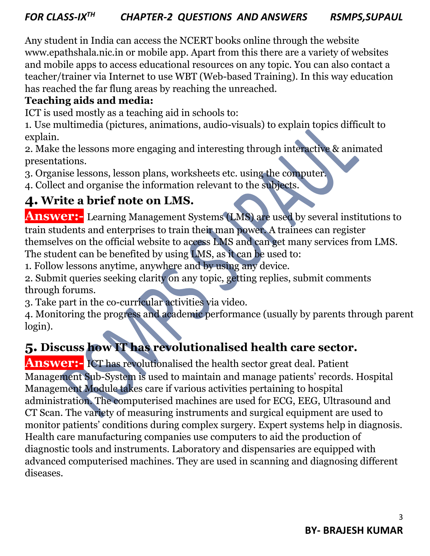Any student in India can access the NCERT books online through the website www.epathshala.nic.in or mobile app. Apart from this there are a variety of websites and mobile apps to access educational resources on any topic. You can also contact a teacher/trainer via Internet to use WBT (Web-based Training). In this way education has reached the far flung areas by reaching the unreached.

#### **Teaching aids and media:**

ICT is used mostly as a teaching aid in schools to:

1. Use multimedia (pictures, animations, audio-visuals) to explain topics difficult to explain.

2. Make the lessons more engaging and interesting through interactive & animated presentations.

3. Organise lessons, lesson plans, worksheets etc. using the computer.

4. Collect and organise the information relevant to the subjects.

### **4. Write a brief note on LMS.**

**Answer:-** Learning Management Systems (LMS) are used by several institutions to train students and enterprises to train their man power. A trainees can register themselves on the official website to access LMS and can get many services from LMS.

The student can be benefited by using LMS, as it can be used to:

1. Follow lessons anytime, anywhere and by using any device.

2. Submit queries seeking clarity on any topic, getting replies, submit comments through forums.

3. Take part in the co-curricular activities via video.

4. Monitoring the progress and academic performance (usually by parents through parent login).

### **5. Discuss how IT has revolutionalised health care sector.**

**Answer:-** ICT has revolutionalised the health sector great deal. Patient Management Sub-System is used to maintain and manage patients' records. Hospital Management Module takes care if various activities pertaining to hospital administration. The computerised machines are used for ECG, EEG, Ultrasound and CT Scan. The variety of measuring instruments and surgical equipment are used to monitor patients' conditions during complex surgery. Expert systems help in diagnosis. Health care manufacturing companies use computers to aid the production of diagnostic tools and instruments. Laboratory and dispensaries are equipped with advanced computerised machines. They are used in scanning and diagnosing different diseases.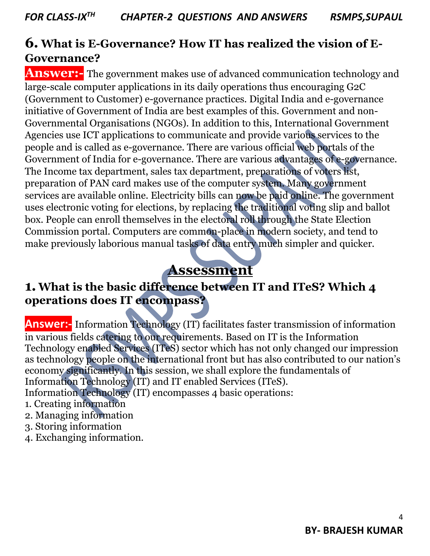### **6. What is E-Governance? How IT has realized the vision of E-Governance?**

**Answer:**- The government makes use of advanced communication technology and large-scale computer applications in its daily operations thus encouraging G2C (Government to Customer) e-governance practices. Digital India and e-governance initiative of Government of India are best examples of this. Government and non-Governmental Organisations (NGOs). In addition to this, International Government Agencies use ICT applications to communicate and provide various services to the people and is called as e-governance. There are various official web portals of the Government of India for e-governance. There are various advantages of e-governance. The Income tax department, sales tax department, preparations of voters list, preparation of PAN card makes use of the computer system. Many government services are available online. Electricity bills can now be paid online. The government uses electronic voting for elections, by replacing the traditional voting slip and ballot box. People can enroll themselves in the electoral roll through the State Election Commission portal. Computers are common-place in modern society, and tend to make previously laborious manual tasks of data entry much simpler and quicker.

### **Assessment**

#### **1.What is the basic difference between IT and ITeS? Which 4 operations does IT encompass?**

**Answer:-** Information Technology (IT) facilitates faster transmission of information in various fields catering to our requirements. Based on IT is the Information Technology enabled Services (ITeS) sector which has not only changed our impression as technology people on the international front but has also contributed to our nation's economy significantly. In this session, we shall explore the fundamentals of Information Technology (IT) and IT enabled Services (ITeS). Information Technology (IT) encompasses 4 basic operations:

- 1. Creating information
- 2. Managing information
- 3. Storing information
- 4. Exchanging information.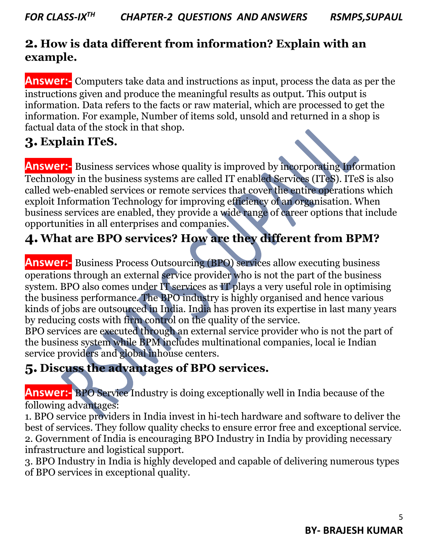#### **2. How is data different from information? Explain with an example.**

**Answer:-** Computers take data and instructions as input, process the data as per the instructions given and produce the meaningful results as output. This output is information. Data refers to the facts or raw material, which are processed to get the information. For example, Number of items sold, unsold and returned in a shop is factual data of the stock in that shop.

#### **3. Explain ITeS.**

**Answer:-** Business services whose quality is improved by incorporating Information Technology in the business systems are called IT enabled Services (ITeS). ITeS is also called web-enabled services or remote services that cover the entire operations which exploit Information Technology for improving efficiency of an organisation. When business services are enabled, they provide a wide range of career options that include opportunities in all enterprises and companies.

### **4.What are BPO services? How are they different from BPM?**

**Answer:**- Business Process Outsourcing (BPO) services allow executing business operations through an external service provider who is not the part of the business system. BPO also comes under IT services as IT plays a very useful role in optimising the business performance. The BPO industry is highly organised and hence various kinds of jobs are outsourced in India. India has proven its expertise in last many years by reducing costs with firm control on the quality of the service.

BPO services are executed through an external service provider who is not the part of the business system while BPM includes multinational companies, local ie Indian service providers and global inhouse centers.

#### **5. Discuss the advantages of BPO services.**

**Answer:-** BPO Service Industry is doing exceptionally well in India because of the following advantages:

1. BPO service providers in India invest in hi-tech hardware and software to deliver the best of services. They follow quality checks to ensure error free and exceptional service. 2. Government of India is encouraging BPO Industry in India by providing necessary infrastructure and logistical support.

3. BPO Industry in India is highly developed and capable of delivering numerous types of BPO services in exceptional quality.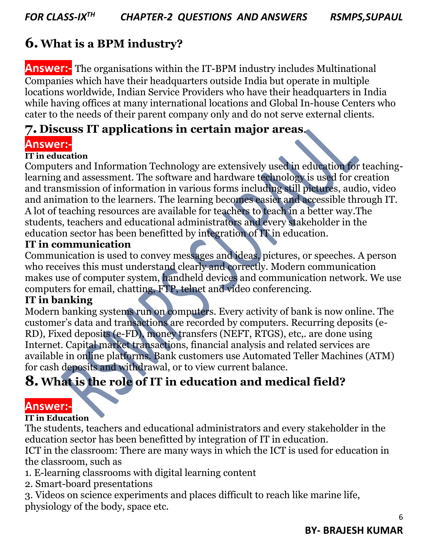### **6.What is a BPM industry?**

**Answer:-** The organisations within the IT-BPM industry includes Multinational Companies which have their headquarters outside India but operate in multiple locations worldwide, Indian Service Providers who have their headquarters in India while having offices at many international locations and Global In-house Centers who cater to the needs of their parent company only and do not serve external clients.

#### **7. Discuss IT applications in certain major areas.**

#### **Answer:-**

#### **IT in education**

Computers and Information Technology are extensively used in education for teachinglearning and assessment. The software and hardware technology is used for creation and transmission of information in various forms including still pictures, audio, video and animation to the learners. The learning becomes easier and accessible through IT. A lot of teaching resources are available for teachers to teach in a better way.The students, teachers and educational administrators and every stakeholder in the education sector has been benefitted by integration of IT in education.

#### **IT in communication**

Communication is used to convey messages and ideas, pictures, or speeches. A person who receives this must understand clearly and correctly. Modern communication makes use of computer system, handheld devices and communication network. We use computers for email, chatting, FTP, telnet and video conferencing.

#### **IT in banking**

Modern banking systems run on computers. Every activity of bank is now online. The customer's data and transactions are recorded by computers. Recurring deposits (e-RD), Fixed deposits (e-FD), money transfers (NEFT, RTGS), etc,. are done using Internet. Capital market transactions, financial analysis and related services are available in online platforms. Bank customers use Automated Teller Machines (ATM) for cash deposits and withdrawal, or to view current balance.

### **8.What is the role of IT in education and medical field?**

#### **Answer:-**

#### **IT in Education**

The students, teachers and educational administrators and every stakeholder in the education sector has been benefitted by integration of IT in education.

ICT in the classroom: There are many ways in which the ICT is used for education in the classroom, such as

- 1. E-learning classrooms with digital learning content
- 2. Smart-board presentations

3. Videos on science experiments and places difficult to reach like marine life, physiology of the body, space etc.

6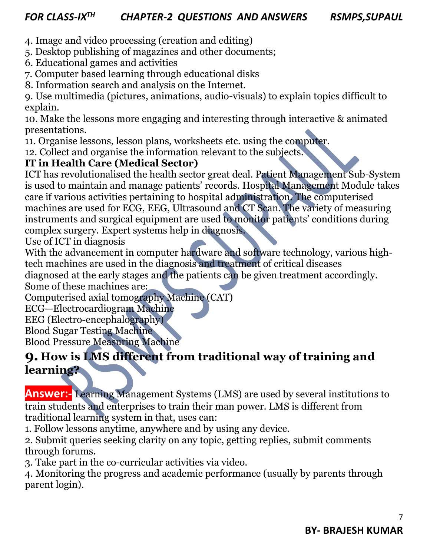- 4. Image and video processing (creation and editing)
- 5. Desktop publishing of magazines and other documents;
- 6. Educational games and activities
- 7. Computer based learning through educational disks
- 8. Information search and analysis on the Internet.

9. Use multimedia (pictures, animations, audio-visuals) to explain topics difficult to explain.

10. Make the lessons more engaging and interesting through interactive & animated presentations.

11. Organise lessons, lesson plans, worksheets etc. using the computer.

12. Collect and organise the information relevant to the subjects.

#### **IT in Health Care (Medical Sector)**

ICT has revolutionalised the health sector great deal. Patient Management Sub-System is used to maintain and manage patients' records. Hospital Management Module takes care if various activities pertaining to hospital administration. The computerised machines are used for ECG, EEG, Ultrasound and CT Scan. The variety of measuring instruments and surgical equipment are used to monitor patients' conditions during complex surgery. Expert systems help in diagnosis.

Use of ICT in diagnosis

With the advancement in computer hardware and software technology, various hightech machines are used in the diagnosis and treatment of critical diseases

diagnosed at the early stages and the patients can be given treatment accordingly.

Some of these machines are:

Computerised axial tomography Machine (CAT)

ECG—Electrocardiogram Machine

EEG (Electro-encephalography)

Blood Sugar Testing Machine

Blood Pressure Measuring Machine

#### **9. How is LMS different from traditional way of training and learning?**

**Answer:-** Learning Management Systems (LMS) are used by several institutions to train students and enterprises to train their man power. LMS is different from traditional learning system in that, uses can:

1. Follow lessons anytime, anywhere and by using any device.

2. Submit queries seeking clarity on any topic, getting replies, submit comments through forums.

3. Take part in the co-curricular activities via video.

4. Monitoring the progress and academic performance (usually by parents through parent login).

7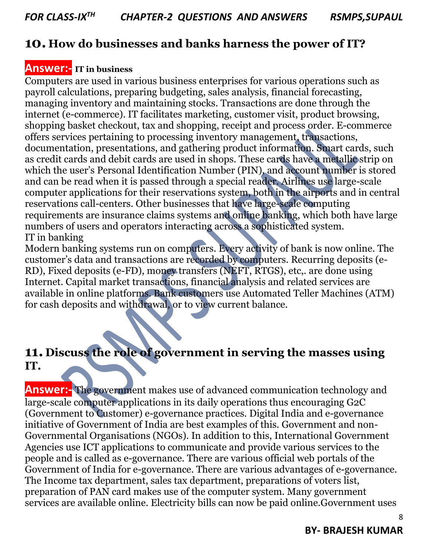#### **10. How do businesses and banks harness the power of IT?**

#### **Answer:- IT in business**

Computers are used in various business enterprises for various operations such as payroll calculations, preparing budgeting, sales analysis, financial forecasting, managing inventory and maintaining stocks. Transactions are done through the internet (e-commerce). IT facilitates marketing, customer visit, product browsing, shopping basket checkout, tax and shopping, receipt and process order. E-commerce offers services pertaining to processing inventory management, transactions, documentation, presentations, and gathering product information. Smart cards, such as credit cards and debit cards are used in shops. These cards have a metallic strip on which the user's Personal Identification Number (PIN), and account number is stored and can be read when it is passed through a special reader. Airlines use large-scale computer applications for their reservations system, both in the airports and in central reservations call-centers. Other businesses that have large-scale computing requirements are insurance claims systems and online banking, which both have large numbers of users and operators interacting across a sophisticated system. IT in banking

Modern banking systems run on computers. Every activity of bank is now online. The customer's data and transactions are recorded by computers. Recurring deposits (e-RD), Fixed deposits (e-FD), money transfers (NEFT, RTGS), etc,. are done using Internet. Capital market transactions, financial analysis and related services are available in online platforms. Bank customers use Automated Teller Machines (ATM) for cash deposits and withdrawal, or to view current balance.

### **11. Discuss the role of government in serving the masses using IT.**

**Answer:-** The government makes use of advanced communication technology and large-scale computer applications in its daily operations thus encouraging G2C (Government to Customer) e-governance practices. Digital India and e-governance initiative of Government of India are best examples of this. Government and non-Governmental Organisations (NGOs). In addition to this, International Government Agencies use ICT applications to communicate and provide various services to the people and is called as e-governance. There are various official web portals of the Government of India for e-governance. There are various advantages of e-governance. The Income tax department, sales tax department, preparations of voters list, preparation of PAN card makes use of the computer system. Many government services are available online. Electricity bills can now be paid online.Government uses

#### **BY- BRAJESH KUMAR**